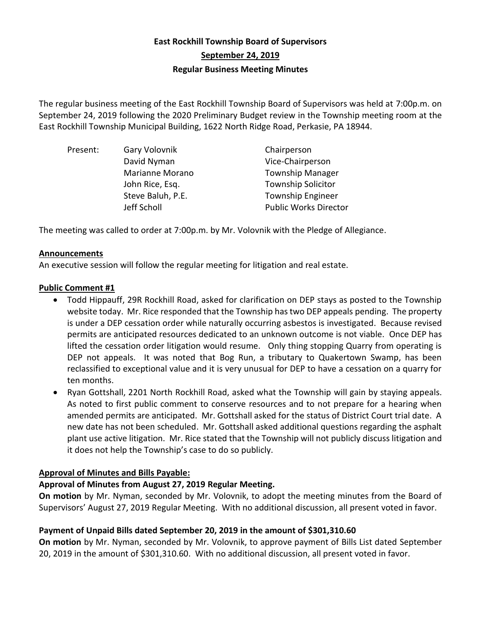# **East Rockhill Township Board of Supervisors September 24, 2019 Regular Business Meeting Minutes**

The regular business meeting of the East Rockhill Township Board of Supervisors was held at 7:00p.m. on September 24, 2019 following the 2020 Preliminary Budget review in the Township meeting room at the East Rockhill Township Municipal Building, 1622 North Ridge Road, Perkasie, PA 18944.

| Present: | Gary Volovnik     | Chairperson                  |
|----------|-------------------|------------------------------|
|          | David Nyman       | Vice-Chairperson             |
|          | Marianne Morano   | <b>Township Manager</b>      |
|          | John Rice, Esq.   | <b>Township Solicitor</b>    |
|          | Steve Baluh, P.E. | <b>Township Engineer</b>     |
|          | Jeff Scholl       | <b>Public Works Director</b> |
|          |                   |                              |

The meeting was called to order at 7:00p.m. by Mr. Volovnik with the Pledge of Allegiance.

### **Announcements**

An executive session will follow the regular meeting for litigation and real estate.

### **Public Comment #1**

- Todd Hippauff, 29R Rockhill Road, asked for clarification on DEP stays as posted to the Township website today. Mr. Rice responded that the Township has two DEP appeals pending. The property is under a DEP cessation order while naturally occurring asbestos is investigated. Because revised permits are anticipated resources dedicated to an unknown outcome is not viable. Once DEP has lifted the cessation order litigation would resume. Only thing stopping Quarry from operating is DEP not appeals. It was noted that Bog Run, a tributary to Quakertown Swamp, has been reclassified to exceptional value and it is very unusual for DEP to have a cessation on a quarry for ten months.
- Ryan Gottshall, 2201 North Rockhill Road, asked what the Township will gain by staying appeals. As noted to first public comment to conserve resources and to not prepare for a hearing when amended permits are anticipated. Mr. Gottshall asked for the status of District Court trial date. A new date has not been scheduled. Mr. Gottshall asked additional questions regarding the asphalt plant use active litigation. Mr. Rice stated that the Township will not publicly discuss litigation and it does not help the Township's case to do so publicly.

### **Approval of Minutes and Bills Payable:**

### **Approval of Minutes from August 27, 2019 Regular Meeting.**

**On motion** by Mr. Nyman, seconded by Mr. Volovnik, to adopt the meeting minutes from the Board of Supervisors' August 27, 2019 Regular Meeting. With no additional discussion, all present voted in favor.

## **Payment of Unpaid Bills dated September 20, 2019 in the amount of \$301,310.60**

**On motion** by Mr. Nyman, seconded by Mr. Volovnik, to approve payment of Bills List dated September 20, 2019 in the amount of \$301,310.60. With no additional discussion, all present voted in favor.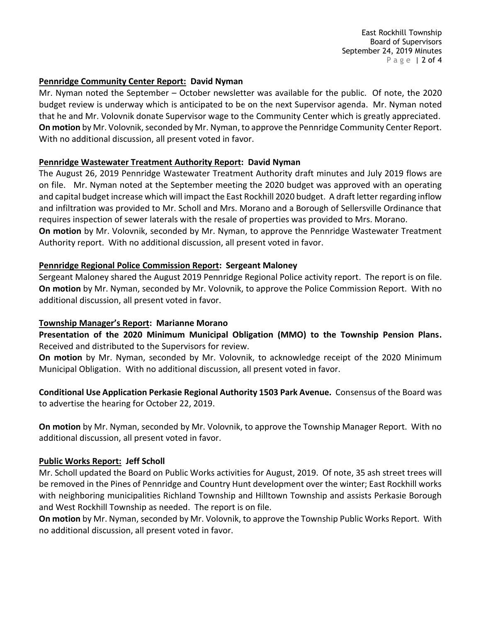East Rockhill Township Board of Supervisors September 24, 2019 Minutes P a g e | 2 of 4

#### **Pennridge Community Center Report: David Nyman**

Mr. Nyman noted the September – October newsletter was available for the public. Of note, the 2020 budget review is underway which is anticipated to be on the next Supervisor agenda. Mr. Nyman noted that he and Mr. Volovnik donate Supervisor wage to the Community Center which is greatly appreciated. **On motion** by Mr. Volovnik, seconded by Mr. Nyman, to approve the Pennridge Community Center Report. With no additional discussion, all present voted in favor.

### **Pennridge Wastewater Treatment Authority Report: David Nyman**

The August 26, 2019 Pennridge Wastewater Treatment Authority draft minutes and July 2019 flows are on file. Mr. Nyman noted at the September meeting the 2020 budget was approved with an operating and capital budget increase which will impact the East Rockhill 2020 budget. A draft letter regarding inflow and infiltration was provided to Mr. Scholl and Mrs. Morano and a Borough of Sellersville Ordinance that requires inspection of sewer laterals with the resale of properties was provided to Mrs. Morano.

**On motion** by Mr. Volovnik, seconded by Mr. Nyman, to approve the Pennridge Wastewater Treatment Authority report. With no additional discussion, all present voted in favor.

### **Pennridge Regional Police Commission Report: Sergeant Maloney**

Sergeant Maloney shared the August 2019 Pennridge Regional Police activity report. The report is on file. **On motion** by Mr. Nyman, seconded by Mr. Volovnik, to approve the Police Commission Report. With no additional discussion, all present voted in favor.

#### **Township Manager's Report: Marianne Morano**

**Presentation of the 2020 Minimum Municipal Obligation (MMO) to the Township Pension Plans.**  Received and distributed to the Supervisors for review.

**On motion** by Mr. Nyman, seconded by Mr. Volovnik, to acknowledge receipt of the 2020 Minimum Municipal Obligation. With no additional discussion, all present voted in favor.

**Conditional Use Application Perkasie Regional Authority 1503 Park Avenue.** Consensus of the Board was to advertise the hearing for October 22, 2019.

**On motion** by Mr. Nyman, seconded by Mr. Volovnik, to approve the Township Manager Report. With no additional discussion, all present voted in favor.

### **Public Works Report: Jeff Scholl**

Mr. Scholl updated the Board on Public Works activities for August, 2019. Of note, 35 ash street trees will be removed in the Pines of Pennridge and Country Hunt development over the winter; East Rockhill works with neighboring municipalities Richland Township and Hilltown Township and assists Perkasie Borough and West Rockhill Township as needed. The report is on file.

**On motion** by Mr. Nyman, seconded by Mr. Volovnik, to approve the Township Public Works Report. With no additional discussion, all present voted in favor.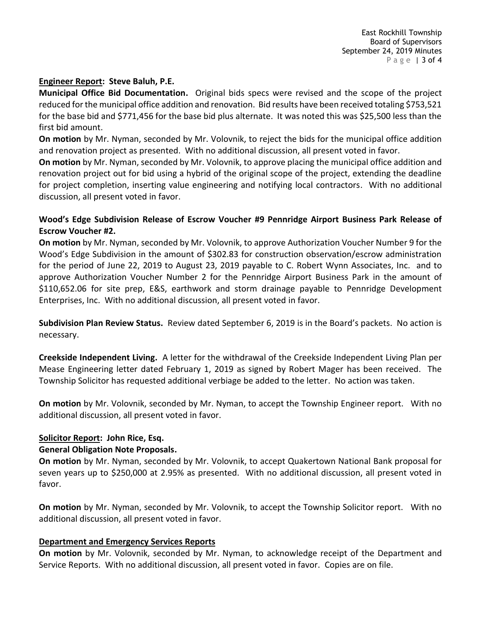#### **Engineer Report: Steve Baluh, P.E.**

**Municipal Office Bid Documentation.** Original bids specs were revised and the scope of the project reduced for the municipal office addition and renovation. Bid results have been received totaling \$753,521 for the base bid and \$771,456 for the base bid plus alternate. It was noted this was \$25,500 less than the first bid amount.

**On motion** by Mr. Nyman, seconded by Mr. Volovnik, to reject the bids for the municipal office addition and renovation project as presented. With no additional discussion, all present voted in favor.

**On motion** by Mr. Nyman, seconded by Mr. Volovnik, to approve placing the municipal office addition and renovation project out for bid using a hybrid of the original scope of the project, extending the deadline for project completion, inserting value engineering and notifying local contractors. With no additional discussion, all present voted in favor.

### **Wood's Edge Subdivision Release of Escrow Voucher #9 Pennridge Airport Business Park Release of Escrow Voucher #2.**

**On motion** by Mr. Nyman, seconded by Mr. Volovnik, to approve Authorization Voucher Number 9 for the Wood's Edge Subdivision in the amount of \$302.83 for construction observation/escrow administration for the period of June 22, 2019 to August 23, 2019 payable to C. Robert Wynn Associates, Inc. and to approve Authorization Voucher Number 2 for the Pennridge Airport Business Park in the amount of \$110,652.06 for site prep, E&S, earthwork and storm drainage payable to Pennridge Development Enterprises, Inc. With no additional discussion, all present voted in favor.

**Subdivision Plan Review Status.** Review dated September 6, 2019 is in the Board's packets. No action is necessary.

**Creekside Independent Living.** A letter for the withdrawal of the Creekside Independent Living Plan per Mease Engineering letter dated February 1, 2019 as signed by Robert Mager has been received. The Township Solicitor has requested additional verbiage be added to the letter. No action was taken.

**On motion** by Mr. Volovnik, seconded by Mr. Nyman, to accept the Township Engineer report. With no additional discussion, all present voted in favor.

#### **Solicitor Report: John Rice, Esq.**

#### **General Obligation Note Proposals.**

**On motion** by Mr. Nyman, seconded by Mr. Volovnik, to accept Quakertown National Bank proposal for seven years up to \$250,000 at 2.95% as presented. With no additional discussion, all present voted in favor.

**On motion** by Mr. Nyman, seconded by Mr. Volovnik, to accept the Township Solicitor report. With no additional discussion, all present voted in favor.

#### **Department and Emergency Services Reports**

**On motion** by Mr. Volovnik, seconded by Mr. Nyman, to acknowledge receipt of the Department and Service Reports. With no additional discussion, all present voted in favor. Copies are on file.